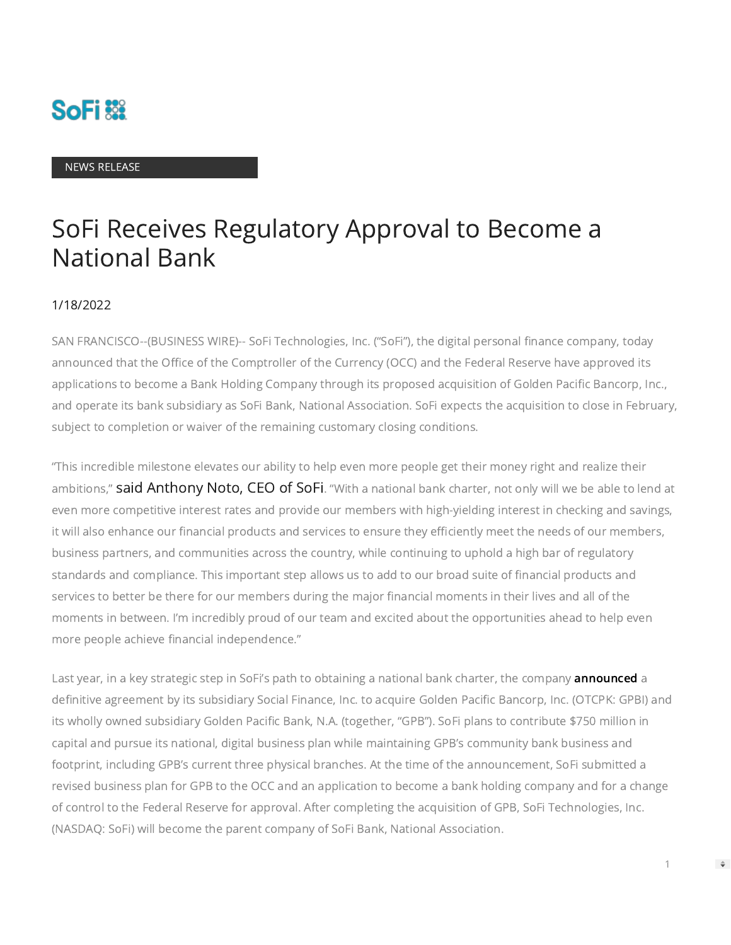

NEWS RELEASE

# SoFi Receives Regulatory Approval to Become a National Bank

#### 1/18/2022

SAN FRANCISCO--(BUSINESS WIRE)-- SoFi Technologies, Inc. ("SoFi"), the digital personal finance company, today announced that the Office of the Comptroller of the Currency (OCC) and the Federal Reserve have approved its applications to become a Bank Holding Company through its proposed acquisition of Golden Pacific Bancorp, Inc., and operate its bank subsidiary as SoFi Bank, National Association. SoFi expects the acquisition to close in February, subject to completion or waiver of the remaining customary closing conditions.

"This incredible milestone elevates our ability to help even more people get their money right and realize their ambitions," **said Anthony Noto, CEO of SoFi**. "With a national bank charter, not only will we be able to lend at even more competitive interest rates and provide our members with high-yielding interest in checking and savings, it will also enhance our financial products and services to ensure they efficiently meet the needs of our members, business partners, and communities across the country, while continuing to uphold a high bar of regulatory standards and compliance. This important step allows us to add to our broad suite of financial products and services to better be there for our members during the major financial moments in their lives and all of the moments in between. I'm incredibly proud of our team and excited about the opportunities ahead to help even more people achieve financial independence."

Last year, in a key strategic step in SoFi's path to obtaining a national bank charter, the company **announced** a definitive agreement by its subsidiary Social Finance, Inc. to acquire Golden Pacific Bancorp, Inc. (OTCPK: GPBI) and its wholly owned subsidiary Golden Pacific Bank, N.A. (together, "GPB"). SoFi plans to contribute \$750 million in capital and pursue its national, digital business plan while maintaining GPB's community bank business and footprint, including GPB's current three physical branches. At the time of the announcement, SoFi submitted a revised business plan for GPB to the OCC and an application to become a bank holding company and for a change of control to the Federal Reserve for approval. After completing the acquisition of GPB, SoFi Technologies, Inc. (NASDAQ: SoFi) will become the parent company of SoFi Bank, National Association.

1

 $\Rightarrow$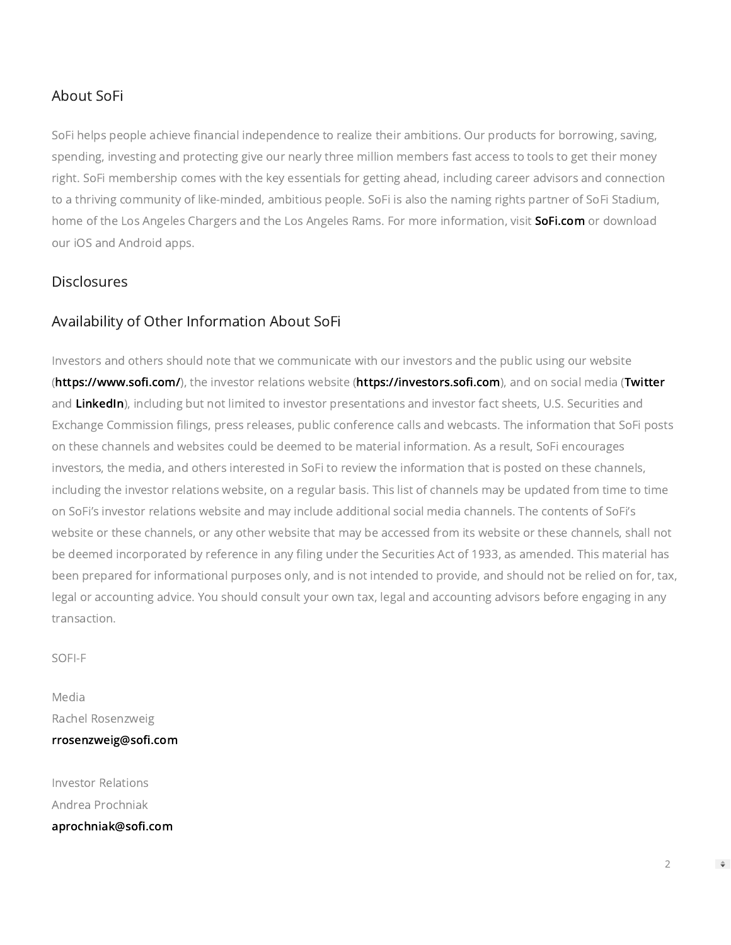## About SoFi

SoFi helps people achieve financial independence to realize their ambitions. Our products for borrowing, saving, spending, investing and protecting give our nearly three million members fast access to tools to get their money right. SoFi membership comes with the key essentials for getting ahead, including career advisors and connection to a thriving community of like-minded, ambitious people. SoFi is also the naming rights partner of SoFi Stadium, home of the Los Angeles Chargers and the Los Angeles Rams. For more information, visit [SoFi.com](https://cts.businesswire.com/ct/CT?id=smartlink&url=https%3A%2F%2Fwww.sofi.com%2F&esheet=52564764&newsitemid=20220118006253&lan=en-US&anchor=SoFi.com&index=2&md5=d809fcc2540a5e6be0e7c93c8d64a7ee) or download our iOS and Android apps.

#### Disclosures

## Availability of Other Information About SoFi

Investors and others should note that we communicate with our investors and the public using our website (https://www.sofi.com/), the investor relations website (https://investors.sofi.com), and on social media ([Twitter](https://cts.businesswire.com/ct/CT?id=smartlink&url=https%3A%2F%2Ftwitter.com%2FSoFi&esheet=52564764&newsitemid=20220118006253&lan=en-US&anchor=Twitter&index=5&md5=3bc45080eb02b7ae5e7fc1a2a6962cc4) and [LinkedIn](https://cts.businesswire.com/ct/CT?id=smartlink&url=https%3A%2F%2Fwww.linkedin.com%2Fcompany%2Fsofi&esheet=52564764&newsitemid=20220118006253&lan=en-US&anchor=LinkedIn&index=6&md5=3ad353b4b35e2ab6bf3d8e585d3b2b01)), including but not limited to investor presentations and investor fact sheets, U.S. Securities and Exchange Commission filings, press releases, public conference calls and webcasts. The information that SoFi posts on these channels and websites could be deemed to be material information. As a result, SoFi encourages investors, the media, and others interested in SoFi to review the information that is posted on these channels, including the investor relations website, on a regular basis. This list of channels may be updated from time to time on SoFi's investor relations website and may include additional social media channels. The contents of SoFi's website or these channels, or any other website that may be accessed from its website or these channels, shall not be deemed incorporated by reference in any filing under the Securities Act of 1933, as amended. This material has been prepared for informational purposes only, and is not intended to provide, and should not be relied on for, tax, legal or accounting advice. You should consult your own tax, legal and accounting advisors before engaging in any transaction.

SOFI-F

Media Rachel Rosenzweig rrosenzweig@sofi.com

Investor Relations Andrea Prochniak aprochniak@sofi.com

 $\Rightarrow$ 

 $\overline{\phantom{a}}$